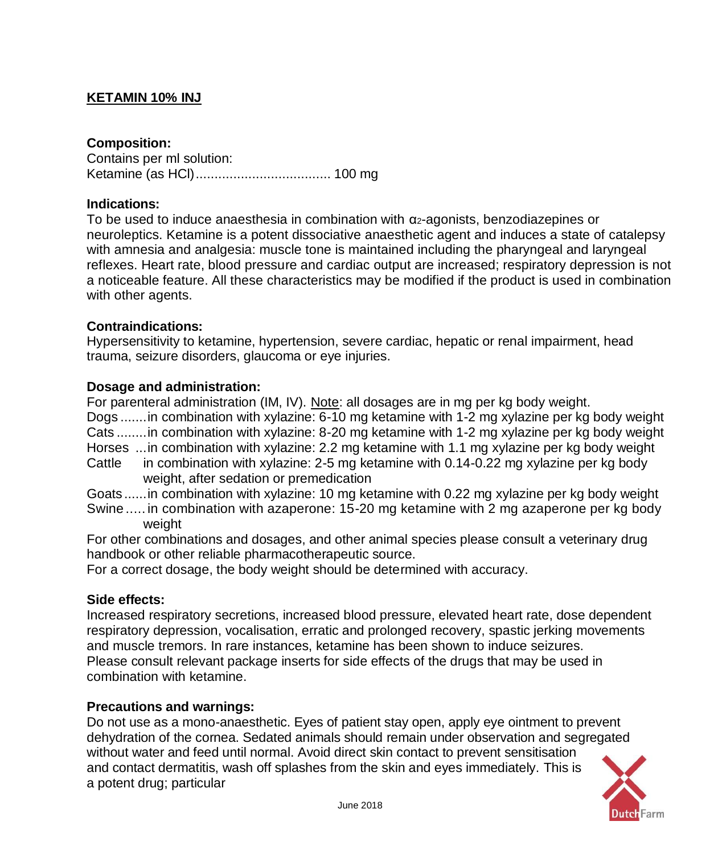# **KETAMIN 10% INJ**

## **Composition:**

Contains per ml solution: Ketamine (as HCl).................................... 100 mg

### **Indications:**

To be used to induce anaesthesia in combination with α2-agonists, benzodiazepines or neuroleptics. Ketamine is a potent dissociative anaesthetic agent and induces a state of catalepsy with amnesia and analgesia: muscle tone is maintained including the pharyngeal and laryngeal reflexes. Heart rate, blood pressure and cardiac output are increased; respiratory depression is not a noticeable feature. All these characteristics may be modified if the product is used in combination with other agents.

#### **Contraindications:**

Hypersensitivity to ketamine, hypertension, severe cardiac, hepatic or renal impairment, head trauma, seizure disorders, glaucoma or eye injuries.

#### **Dosage and administration:**

For parenteral administration (IM, IV). Note: all dosages are in mg per kg body weight. Dogs .......in combination with xylazine: 6-10 mg ketamine with 1-2 mg xylazine per kg body weight Cats ........in combination with xylazine: 8-20 mg ketamine with 1-2 mg xylazine per kg body weight Horses ...in combination with xylazine: 2.2 mg ketamine with 1.1 mg xylazine per kg body weight Cattle in combination with xylazine: 2-5 mg ketamine with 0.14-0.22 mg xylazine per kg body weight, after sedation or premedication Goats ......in combination with xylazine: 10 mg ketamine with 0.22 mg xylazine per kg body weight

Swine ..... in combination with azaperone: 15-20 mg ketamine with 2 mg azaperone per kg body weight

For other combinations and dosages, and other animal species please consult a veterinary drug handbook or other reliable pharmacotherapeutic source.

For a correct dosage, the body weight should be determined with accuracy.

#### **Side effects:**

Increased respiratory secretions, increased blood pressure, elevated heart rate, dose dependent respiratory depression, vocalisation, erratic and prolonged recovery, spastic jerking movements and muscle [tremors.](http://www.petplace.com/drug-library/ketamine-ketaset-vetalar-vetaket/page1.aspx) In rare instances, ketamine has been shown to induce seizures. Please consult relevant package inserts for side effects of the drugs that may be used in combination with ketamine.

#### **Precautions and warnings:**

Do not use as a mono-anaesthetic. Eyes of patient stay open, apply eye ointment to prevent dehydration of the cornea. Sedated animals should remain under observation and segregated without water and feed until normal. Avoid direct skin contact to prevent sensitisation and contact dermatitis, wash off splashes from the skin and eyes immediately. This is a potent drug; particular